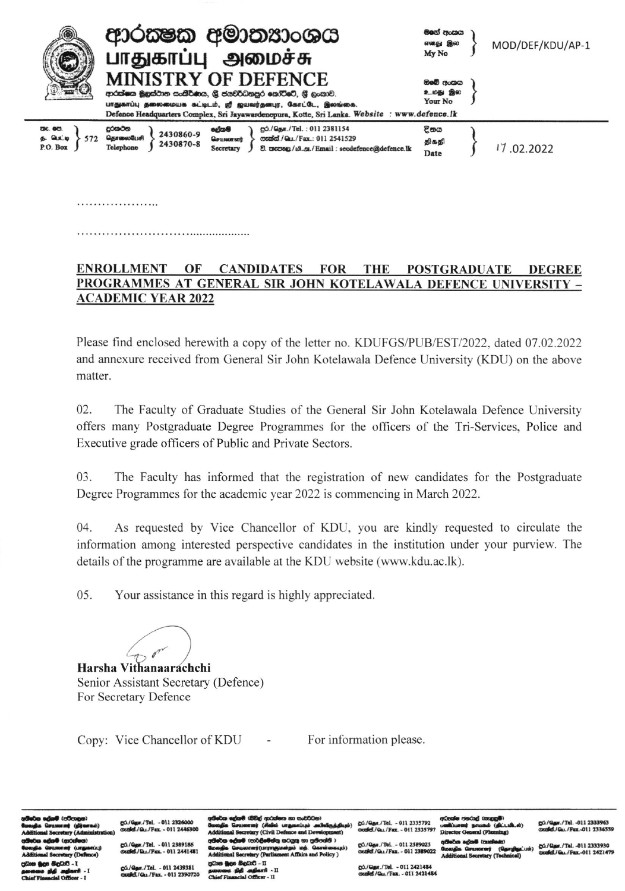| 4                                                       | ආරක්ෂක අමාතනාංශය<br>பாதுகாப்பு<br>அமைச்சு                                                                                                                                                                                                                | මගේ පංකය<br>எனது இல<br>My No   | MOD/DEF/KDU/AP-1 |
|---------------------------------------------------------|----------------------------------------------------------------------------------------------------------------------------------------------------------------------------------------------------------------------------------------------------------|--------------------------------|------------------|
|                                                         | <b>MINISTRY OF DEFENCE</b><br>ආරක්ෂක මූහුස්ථාන සංකීර්ණය, ශූ ජයවර්ධනපුර කෝට්රේ, ශූ හැකාව.<br>பாதுகாப்பு தலைமையக கட்டிடம், ஜீ ஜயவர்தனபுர, கோட்டே, இலங்கை.<br>Defence Headquarters Complex, Sri Jayawardenepura, Kotte, Sri Lanka. Website : www.defence.lk | ඔවේ අංකය<br>உமது இல<br>Your No |                  |
| <b>CBC. GCO.</b><br>$5.$ <b>QUI.</b><br>572<br>P.O. Box | දුරකථන<br>gó./Qgm./Tel.: 011 2381154<br>දේශම්<br>2430860-9<br>தொலைபேசி<br>mand / Gu./Fax.: 011 2541529<br>Germental<br>2430870-8<br>Telephone<br>වී. තැපකු/10.51./Email: secdefence@defence.lk<br>Secretary                                              | <b>E</b> තග<br>திகதி<br>Date   | 17.02.2022       |

## . . . . . . . . . . . . . . . . . . . .

## ENROLLMENT OF CANDIDATES **FOR THE POSTGRADUATE DEGREE** PROGRAMMES AT GENERAL SIR JOHN KOTELAWALA DEFENCE UNIVERSITY -**ACADEMIC YEAR 2022**

Please find enclosed herewith a copy of the letter no. KDUFGS/PUB/EST/2022, dated 07.02.2022 and annexure received from General Sir John Kotelawala Defence University (KDU) on the above matter.

02. The Faculty of Graduate Studies of the General Sir John Kotelawala Defence University offers many Postgraduate Degree Programmes for the officers of the Tri-Services, Police and Executive grade officers of Public and Private Sectors.

03. The Faculty has informed that the registration of new candidates for the Postgraduate Degree Programmes for the academic year 2022 is commencing in March 2022.

 $04.$ As requested by Vice Chancellor of KDU, you are kindly requested to circulate the information among interested perspective candidates in the institution under your purview. The details of the programme are available at the KDU website (www.kdu.ac.lk).

 $05<sub>1</sub>$ Your assistance in this regard is highly appreciated.

Harsha Vithanaarachchi Senior Assistant Secretary (Defence) For Secretary Defence

Copy: Vice Chancellor of KDU  $\sim 10^{-10}$  m  $^{-1}$  For information please.

gó./Quar./Tel. - 011 2326000<br>oxalid./Qu./Fax. - 011 2446300

./Tel. - 011 2389186 8 / Day / Fax = 011 7441481

r./Tel. - 011 2439381 d/Gu./Fax. - 011 2390720 windi (BBul rested ca non envertistien) සධාරී - II

66.10 M./Tel. - 011 2335792 Vol./Fax. - 011 2335797

milwedan etminal temanen@)

■ im

/Tel. - 011 2389023 dell / Qr. / Fax. - 011 2389022

ஜ**்./தொ./Tel. - 011 2421484**<br>மணிவீ./டெட/Fax. - 011 2421484

go./Gaw./Tel. -011 2333963<br>condel./Gu./Fax.-011 2336555

go./Qar./Tel. -011 2333930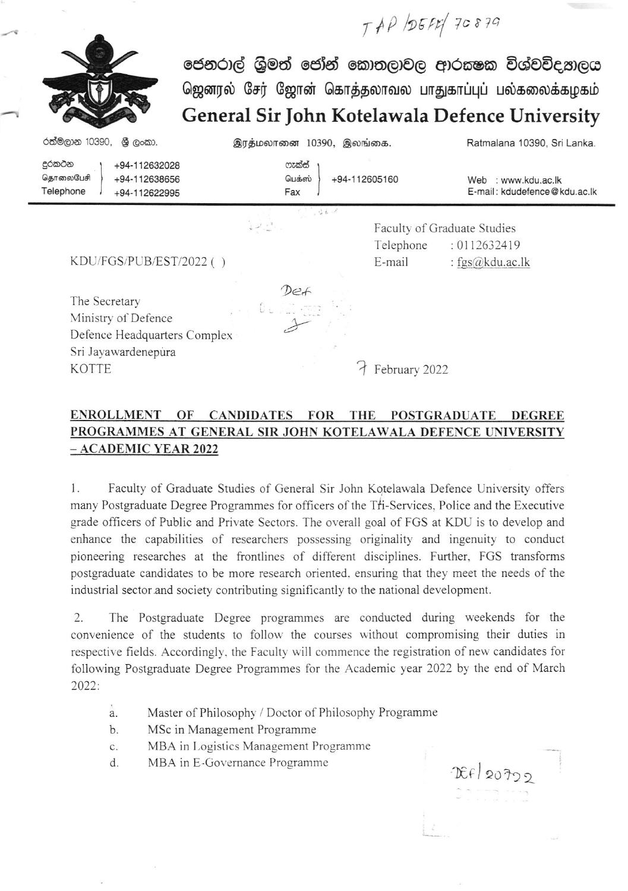ජෙනරාල් ශුිමත් ජෝන් කොතලාවල ආරකෂක විශ්වවිද, හලය ஜெனரல் சேர் ஜோன் கொத்தலாவல பாதுகாப்புப் பல்கலைக்கழகம் General Sir ]ohn Kotelawala Defence University

 $TAP$   $DBER/70879$ 

| රත්මලාන 10390,<br>ශී ලංකා.                                                                  | இரத்மலானை 10390, இலங்கை. |               | Ratmalana 10390, Sri Lanka.                            |
|---------------------------------------------------------------------------------------------|--------------------------|---------------|--------------------------------------------------------|
| දුරකථන<br>+94-112632028<br>தொலைபேசி<br>+94-112638656<br>Telephone<br>+94-112622995          | ෆැක්ස්<br>பெக்ஸ்<br>Fax  | +94-112605160 | : www.kdu.ac.lk<br>Web<br>E-mail: kdudefence@kdu.ac.lk |
|                                                                                             | $-36 - 1$                |               | Faculty of Graduate Studies                            |
|                                                                                             |                          | Telephone     | : 0112632419                                           |
| KDU/FGS/PUB/EST/2022()                                                                      |                          | E-mail        | : $fgs(\hat{\alpha})$ kdu.ac.lk                        |
| The Secretary<br>Ministry of Defence<br>Defence Headquarters Complex<br>Sri Jayawardenepura | Def                      |               |                                                        |
| <b>KOTTE</b>                                                                                |                          | February 2022 |                                                        |

## PROGRAMMES AT GENERAL SIR JOHN KOTELAWALA DEFENCE UNIVERSITY \_ ACADEMIC YEAR 2022 ENROLLMENT OF CANDIDATES FOR THE POSTGRADUATE DEGREE

1. Faculty of Graduate Studies of General Sir John Kotelawala Defence University offers many Postgraduate Degree Programmes for officers of the Tri-Services, Police and the Executive grade officers of Public and Private Sectors. The overall goal of FGS at KDU is to develop and enhance the capabilities of researchers possessing originality and ingenuity to conduct pioneering researches at the frontlines of different disciplines. Further, FGS transforms postgraduate candidates to be more research oriented. ensuring that they meet the needs of the industrial sectorand society contributing significantly to the national development.

2. The Postgraduate Degree programmes are conducted during weekends for the convenience of the students to follou the courses without compromising their duties in respective fields. Accordingly, the Faculty will commence the registration of new candidates for following Postgraduate Degree Programmes for the Academic year 2022 by the end of March 2022:

- Master of Philosophy / Doctor of Philosophy Programme a
- MSc in Management Programme  $h$ .
- MBA in Logistics Management Programme c
- MBA in E-Governance Programme d.

r€i 2Oho